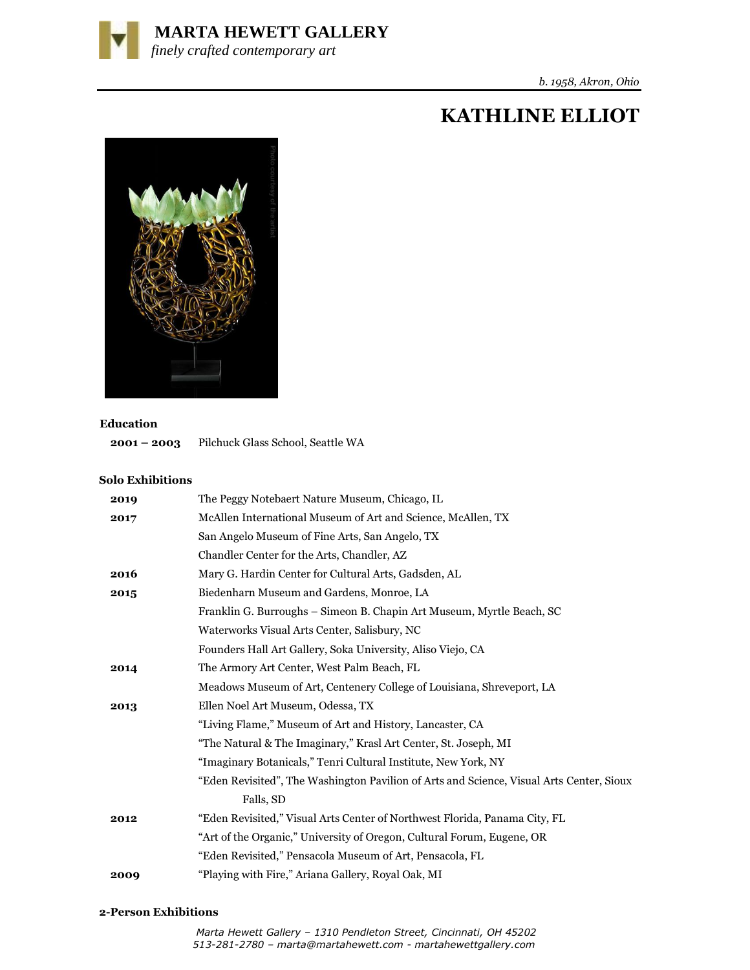

# **KATHLINE ELLIOT**



#### **Education**

**2001 – 2003** Pilchuck Glass School, Seattle WA

### **Solo Exhibitions**

| 2019 | The Peggy Notebaert Nature Museum, Chicago, IL                                           |
|------|------------------------------------------------------------------------------------------|
| 2017 | McAllen International Museum of Art and Science, McAllen, TX                             |
|      | San Angelo Museum of Fine Arts, San Angelo, TX                                           |
|      | Chandler Center for the Arts, Chandler, AZ                                               |
| 2016 | Mary G. Hardin Center for Cultural Arts, Gadsden, AL                                     |
| 2015 | Biedenharn Museum and Gardens, Monroe, LA                                                |
|      | Franklin G. Burroughs - Simeon B. Chapin Art Museum, Myrtle Beach, SC                    |
|      | Waterworks Visual Arts Center, Salisbury, NC                                             |
|      | Founders Hall Art Gallery, Soka University, Aliso Viejo, CA                              |
| 2014 | The Armory Art Center, West Palm Beach, FL                                               |
|      | Meadows Museum of Art, Centenery College of Louisiana, Shreveport, LA                    |
| 2013 | Ellen Noel Art Museum, Odessa, TX                                                        |
|      | "Living Flame," Museum of Art and History, Lancaster, CA                                 |
|      | "The Natural & The Imaginary," Krasl Art Center, St. Joseph, MI                          |
|      | "Imaginary Botanicals," Tenri Cultural Institute, New York, NY                           |
|      | "Eden Revisited", The Washington Pavilion of Arts and Science, Visual Arts Center, Sioux |
|      | Falls, SD                                                                                |
| 2012 | "Eden Revisited," Visual Arts Center of Northwest Florida, Panama City, FL               |
|      | "Art of the Organic," University of Oregon, Cultural Forum, Eugene, OR                   |
|      | "Eden Revisited," Pensacola Museum of Art, Pensacola, FL                                 |
| 2009 | "Playing with Fire," Ariana Gallery, Royal Oak, MI                                       |

#### **2-Person Exhibitions**